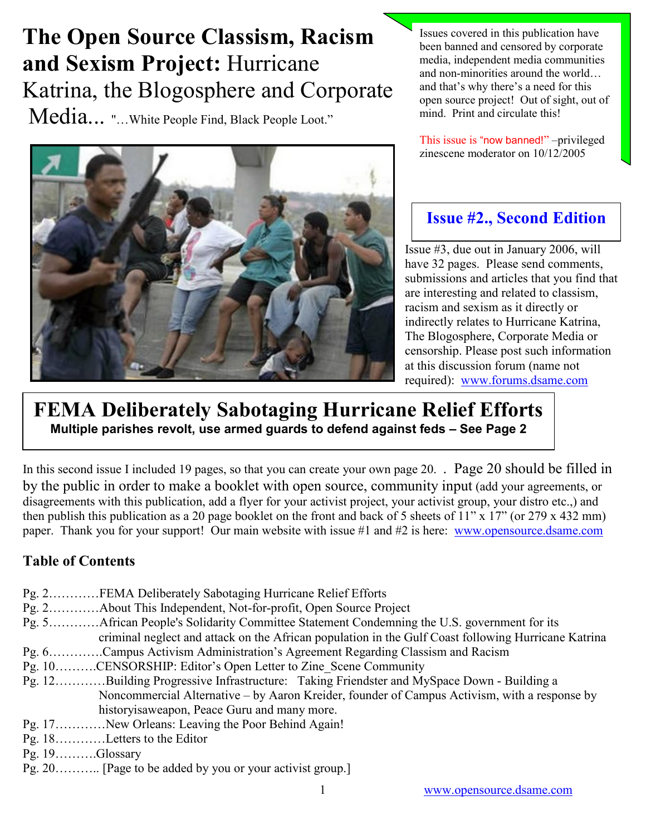# The Open Source Classism, Racism and Sexism Project: Hurricane Katrina, the Blogosphere and Corporate

Media... "…White People Find, Black People Loot."



Issues covered in this publication have been banned and censored by corporate media, independent media communities and non-minorities around the world… and that's why there's a need for this open source project! Out of sight, out of mind. Print and circulate this!

This issue is "now banned!" –privileged zinescene moderator on 10/12/2005

## Issue #2., Second Edition

Issue #3, due out in January 2006, will have 32 pages. Please send comments, submissions and articles that you find that are interesting and related to classism, racism and sexism as it directly or indirectly relates to Hurricane Katrina, The Blogosphere, Corporate Media or censorship. Please post such information at this discussion forum (name not required): [www.forums.dsame.com](http://www.forums.dsame.com/) 

## FEMA Deliberately Sabotaging Hurricane Relief Efforts Multiple parishes revolt, use armed guards to defend against feds – See Page 2

In this second issue I included 19 pages, so that you can create your own page 20. . Page 20 should be filled in by the public in order to make a booklet with open source, community input (add your agreements, or disagreements with this publication, add a flyer for your activist project, your activist group, your distro etc.,) and then publish this publication as a 20 page booklet on the front and back of 5 sheets of 11" x 17" (or 279 x 432 mm) paper. Thank you for your support! Our main website with issue #1 and #2 is here: [www.opensource.dsame.com](http://www.opensource.dsame.com/)

### Table of Contents

- Pg. 2…………FEMA Deliberately Sabotaging Hurricane Relief Efforts
- Pg. 2…………About This Independent, Not-for-profit, Open Source Project
- Pg. 5…………African People's Solidarity Committee Statement Condemning the U.S. government for its criminal neglect and attack on the African population in the Gulf Coast following Hurricane Katrina
- Pg. 6………….Campus Activism Administration's Agreement Regarding Classism and Racism
- Pg. 10……….CENSORSHIP: Editor's Open Letter to Zine\_Scene Community
- Pg. 12………[…Building Progressive Infrastructure:](http://www.campusactivism.org/blog/node/view/80) [Taking Friendster and MySpace Down Building a](http://www.campusactivism.org/blog/node/view/75)   [Noncommercial Alternative](http://www.campusactivism.org/blog/node/view/75) – by Aaron Kreider, founder of Campus Activism, with a response by historyisaweapon, Peace Guru and many more.
- Pg. 17…………New Orleans: Leaving the Poor Behind Again!
- Pg. 18…………Letters to the Editor
- Pg. 19……….Glossary
- Pg. 20……….. [Page to be added by you or your activist group.]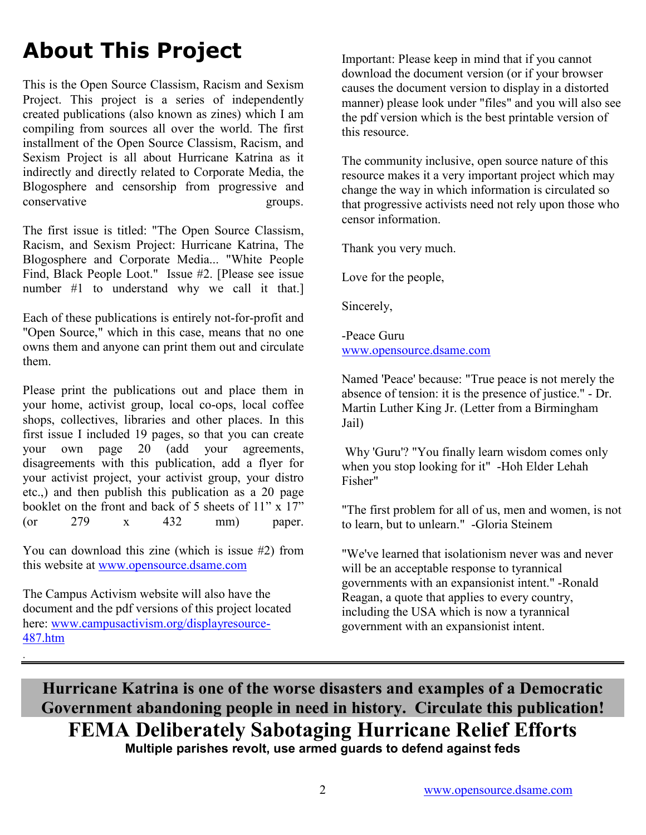# About This Project

This is the Open Source Classism, Racism and Sexism Project. This project is a series of independently created publications (also known as zines) which I am compiling from sources all over the world. The first installment of the Open Source Classism, Racism, and Sexism Project is all about Hurricane Katrina as it indirectly and directly related to Corporate Media, the Blogosphere and censorship from progressive and conservative groups.

The first issue is titled: "The Open Source Classism, Racism, and Sexism Project: Hurricane Katrina, The Blogosphere and Corporate Media... "White People Find, Black People Loot." Issue #2. [Please see issue number #1 to understand why we call it that.]

Each of these publications is entirely not-for-profit and "Open Source," which in this case, means that no one owns them and anyone can print them out and circulate them.

Please print the publications out and place them in your home, activist group, local co-ops, local coffee shops, collectives, libraries and other places. In this first issue I included 19 pages, so that you can create your own page 20 (add your agreements, disagreements with this publication, add a flyer for your activist project, your activist group, your distro etc.,) and then publish this publication as a 20 page booklet on the front and back of 5 sheets of  $11$ " x  $17$ " (or 279 x 432 mm) paper.

You can download this zine (which is issue #2) from this website at [www.opensource.dsame.com](http://www.opensource.dsame.com/)

The Campus Activism website will also have the document and the pdf versions of this project located here: [www.campusactivism.org/displayresource-](http://www.campusactivism.org/displayresource-487.htm)[487.htm](http://www.campusactivism.org/displayresource-487.htm)

.

Important: Please keep in mind that if you cannot download the document version (or if your browser causes the document version to display in a distorted manner) please look under "files" and you will also see the pdf version which is the best printable version of this resource.

The community inclusive, open source nature of this resource makes it a very important project which may change the way in which information is circulated so that progressive activists need not rely upon those who censor information.

Thank you very much.

Love for the people,

Sincerely,

-Peace Guru [www.opensource.dsame.com](http://www.opensource.dsame.com/)

Named 'Peace' because: "True peace is not merely the absence of tension: it is the presence of justice." - Dr. Martin Luther King Jr. (Letter from a Birmingham Jail)

 Why 'Guru'? "You finally learn wisdom comes only when you stop looking for it" -Hoh Elder Lehah Fisher"

"The first problem for all of us, men and women, is not to learn, but to unlearn." -Gloria Steinem

"We've learned that isolationism never was and never will be an acceptable response to tyrannical governments with an expansionist intent." -Ronald Reagan, a quote that applies to every country, including the USA which is now a tyrannical government with an expansionist intent.

Hurricane Katrina is one of the worse disasters and examples of a Democratic Government abandoning people in need in history. Circulate this publication! FEMA Deliberately Sabotaging Hurricane Relief Efforts Multiple parishes revolt, use armed guards to defend against feds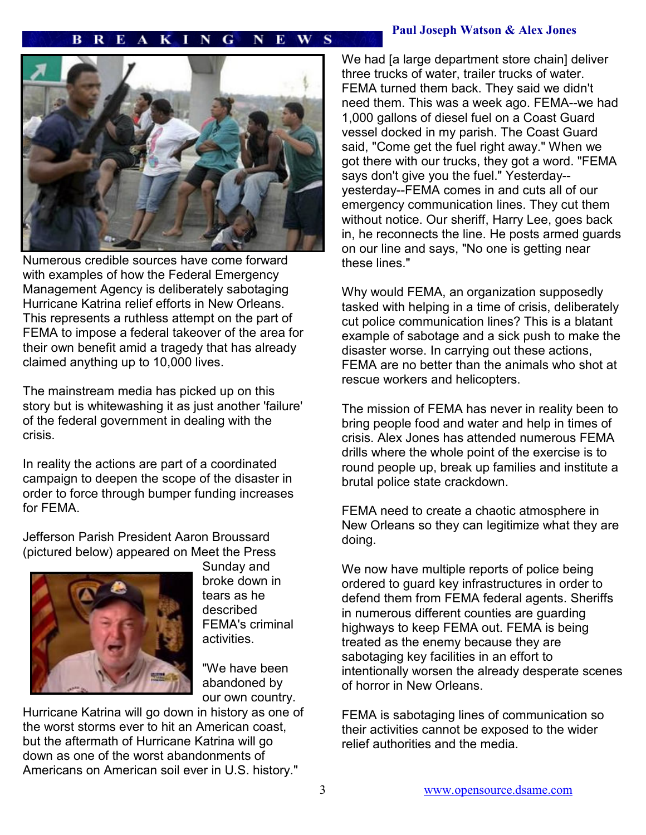#### Paul Joseph Watson & Alex Jones

#### R Е  $K I N$ G E. W s



Numerous credible sources have come forward with examples of how the Federal Emergency Management Agency is deliberately sabotaging Hurricane Katrina relief efforts in New Orleans. This represents a ruthless attempt on the part of FEMA to impose a federal takeover of the area for their own benefit amid a tragedy that has already claimed anything up to 10,000 lives.

The mainstream media has picked up on this story but is whitewashing it as just another 'failure' of the federal government in dealing with the crisis.

In reality the actions are part of a coordinated campaign to deepen the scope of the disaster in order to force through bumper funding increases for FEMA.

Jefferson Parish President Aaron Broussard (pictured below) appeared on Meet the Press



Sunday and broke down in tears as he described FEMA's criminal activities.

"We have been abandoned by our own country.

Hurricane Katrina will go down in history as one of the worst storms ever to hit an American coast, but the aftermath of Hurricane Katrina will go down as one of the worst abandonments of Americans on American soil ever in U.S. history."

We had [\[a large department store chain\] de](http://www.prisonplanet.com/index.html)liver three trucks of water, trailer trucks of water. FEMA turned them back. They said we didn't need them. This was a week ago. FEMA--we had 1,000 gallons of diesel fuel on a Coast Guard vessel docked in my parish. The Coast Guard said, "Come get the fuel right away." When we got there with our trucks, they got a word. "FEMA says don't give you the fuel." Yesterday- yesterday--FEMA comes in and cuts all of our emergency communication lines. They cut them without notice. Our sheriff, Harry Lee, goes back in, he reconnects the line. He posts armed guards on our line and says, "No one is getting near these lines."

Why would FEMA, an organization supposedly tasked with helping in a time of crisis, deliberately cut police communication lines? This is a blatant example of sabotage and a sick push to make the disaster worse. In carrying out these actions, FEMA are no better than the animals who shot at rescue workers and helicopters.

The mission of FEMA has never in reality been to bring people food and water and help in times of crisis. Alex Jones has attended numerous FEMA drills where the whole point of the exercise is to round people up, break up families and institute a brutal police state crackdown.

FEMA need to create a chaotic atmosphere in New Orleans so they can legitimize what they are doing.

We now have multiple reports of police being ordered to guard key infrastructures in order to defend them from FEMA federal agents. Sheriffs in numerous different counties are guarding highways to keep FEMA out. FEMA is being treated as the enemy because they are sabotaging key facilities in an effort to intentionally worsen the already desperate scenes of horror in New Orleans.

FEMA is sabotaging lines of communication so their activities cannot be exposed to the wider relief authorities and the media.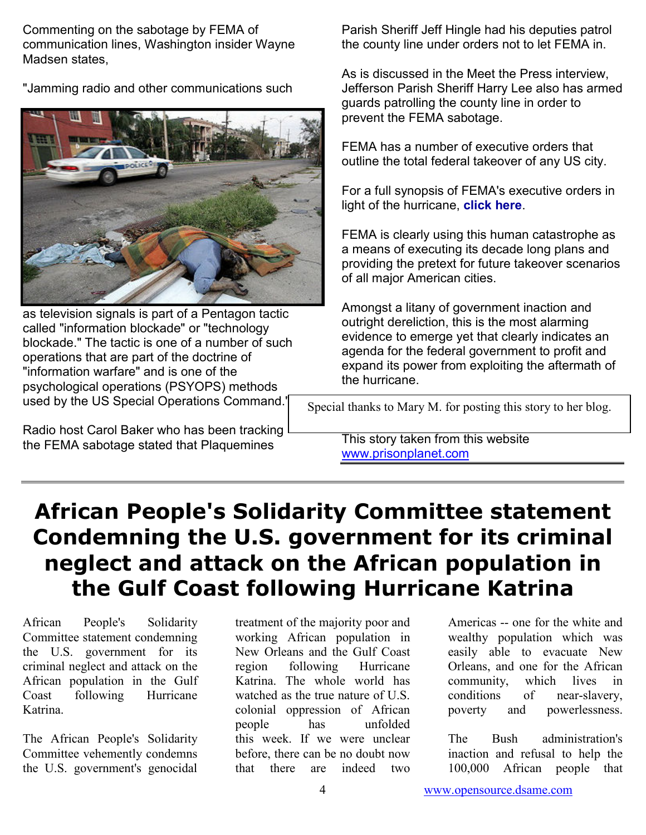Commenting on the sabotage by FEMA of communication lines, Washington insider Wayne Madsen states,

"Jamming radio and other communications such



as television signals is part of a Pentagon tactic called "information blockade" or "technology blockade." The tactic is one of a number of such operations that are part of the doctrine of "information warfare" and is one of the psychological operations (PSYOPS) methods used by the US Special Operations Command."

Radio host Carol Baker who has been tracking the FEMA sabotage stated that Plaquemines

Parish Sheriff Jeff Hingle had his deputies patrol the county line under orders not to let FEMA in.

As is discussed in the Meet the Press interview, Jefferson Parish Sheriff Harry Lee also has armed guards patrolling the county line in order to prevent the FEMA sabotage.

FEMA has a number of executive orders that outline the total federal takeover of any US city.

For a full synopsis of FEMA's executive orders in light of the hurricane, [click here](http://prisonplanet.com/Pages/Sept05/060905FEMA.htm).

FEMA is clearly using this human catastrophe as a means of executing its decade long plans and providing the pretext for future takeover scenarios of all major American cities.

Amongst a litany of government inaction and outright dereliction, this is the most alarming evidence to emerge yet that clearly indicates an agenda for the federal government to profit and expand its power from exploiting the aftermath of the hurricane.

Special thanks to Mary M. for posting this story to her blog.

This story taken from this website [www.prisonplanet.com](http://www.prisonplanet.com/)

# African People's Solidarity Committee statement Condemning the U.S. government for its criminal neglect and attack on the African population in the Gulf Coast following Hurricane Katrina

African People's Solidarity Committee statement condemning the U.S. government for its criminal neglect and attack on the African population in the Gulf Coast following Hurricane Katrina.

The African People's Solidarity Committee vehemently condemns the U.S. government's genocidal

treatment of the majority poor and working African population in New Orleans and the Gulf Coast region following Hurricane Katrina. The whole world has watched as the true nature of U.S. colonial oppression of African people has unfolded this week. If we were unclear before, there can be no doubt now that there are indeed two

Americas -- one for the white and wealthy population which was easily able to evacuate New Orleans, and one for the African community, which lives in conditions of near-slavery, poverty and powerlessness.

The Bush administration's inaction and refusal to help the 100,000 African people that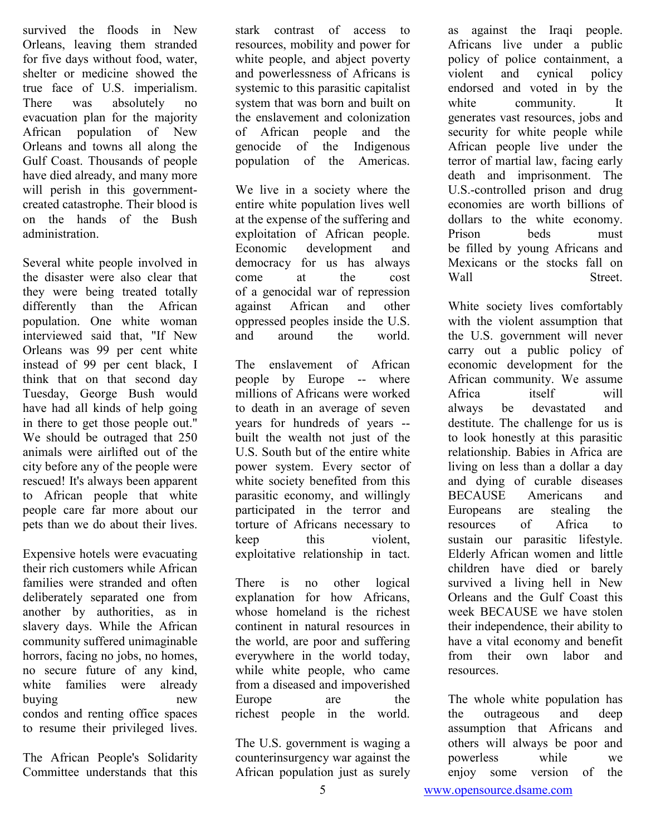survived the floods in New Orleans, leaving them stranded for five days without food, water, shelter or medicine showed the true face of U.S. imperialism. There was absolutely no evacuation plan for the majority African population of New Orleans and towns all along the Gulf Coast. Thousands of people have died already, and many more will perish in this governmentcreated catastrophe. Their blood is on the hands of the Bush administration.

Several white people involved in the disaster were also clear that they were being treated totally differently than the African population. One white woman interviewed said that, "If New Orleans was 99 per cent white instead of 99 per cent black, I think that on that second day Tuesday, George Bush would have had all kinds of help going in there to get those people out." We should be outraged that 250 animals were airlifted out of the city before any of the people were rescued! It's always been apparent to African people that white people care far more about our pets than we do about their lives.

Expensive hotels were evacuating their rich customers while African families were stranded and often deliberately separated one from another by authorities, as in slavery days. While the African community suffered unimaginable horrors, facing no jobs, no homes, no secure future of any kind, white families were already buying new condos and renting office spaces to resume their privileged lives.

The African People's Solidarity Committee understands that this stark contrast of access to resources, mobility and power for white people, and abject poverty and powerlessness of Africans is systemic to this parasitic capitalist system that was born and built on the enslavement and colonization of African people and the genocide of the Indigenous population of the Americas.

We live in a society where the entire white population lives well at the expense of the suffering and exploitation of African people. Economic development and democracy for us has always come at the cost of a genocidal war of repression against African and other oppressed peoples inside the U.S. and around the world.

The enslavement of African people by Europe -- where millions of Africans were worked to death in an average of seven years for hundreds of years - built the wealth not just of the U.S. South but of the entire white power system. Every sector of white society benefited from this parasitic economy, and willingly participated in the terror and torture of Africans necessary to keep this violent, exploitative relationship in tact.

There is no other logical explanation for how Africans, whose homeland is the richest continent in natural resources in the world, are poor and suffering everywhere in the world today, while white people, who came from a diseased and impoverished Europe are the richest people in the world.

The U.S. government is waging a counterinsurgency war against the African population just as surely

as against the Iraqi people. Africans live under a public policy of police containment, a violent and cynical policy endorsed and voted in by the white community. It generates vast resources, jobs and security for white people while African people live under the terror of martial law, facing early death and imprisonment. The U.S.-controlled prison and drug economies are worth billions of dollars to the white economy. Prison beds must be filled by young Africans and Mexicans or the stocks fall on Wall Street

White society lives comfortably with the violent assumption that the U.S. government will never carry out a public policy of economic development for the African community. We assume Africa itself will always be devastated and destitute. The challenge for us is to look honestly at this parasitic relationship. Babies in Africa are living on less than a dollar a day and dying of curable diseases BECAUSE Americans and Europeans are stealing the resources of Africa to sustain our parasitic lifestyle. Elderly African women and little children have died or barely survived a living hell in New Orleans and the Gulf Coast this week BECAUSE we have stolen their independence, their ability to have a vital economy and benefit from their own labor and resources.

The whole white population has the outrageous and deep assumption that Africans and others will always be poor and powerless while we enjoy some version of the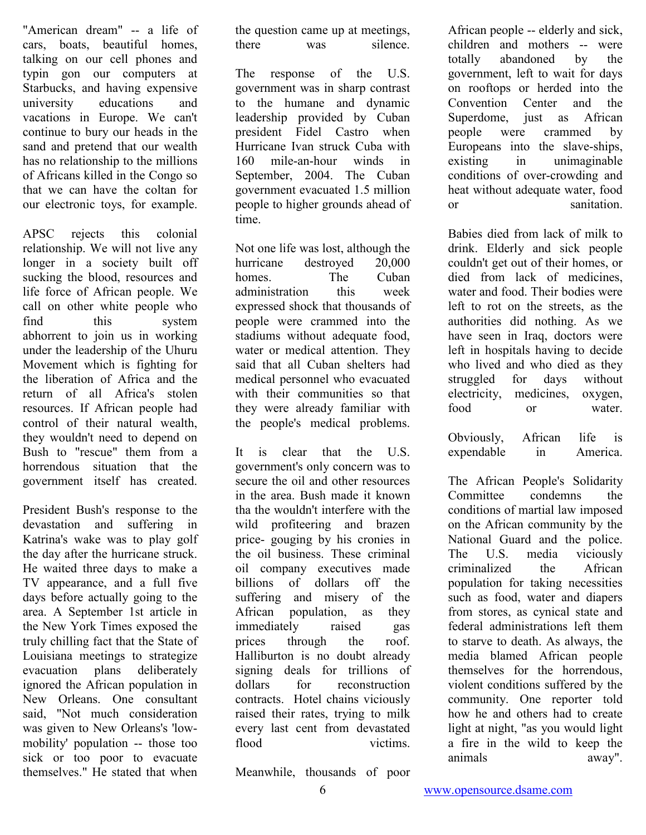"American dream" -- a life of cars, boats, beautiful homes, talking on our cell phones and typin gon our computers at Starbucks, and having expensive university educations and vacations in Europe. We can't continue to bury our heads in the sand and pretend that our wealth has no relationship to the millions of Africans killed in the Congo so that we can have the coltan for our electronic toys, for example.

APSC rejects this colonial relationship. We will not live any longer in a society built off sucking the blood, resources and life force of African people. We call on other white people who find this system abhorrent to join us in working under the leadership of the Uhuru Movement which is fighting for the liberation of Africa and the return of all Africa's stolen resources. If African people had control of their natural wealth, they wouldn't need to depend on Bush to "rescue" them from a horrendous situation that the government itself has created.

President Bush's response to the devastation and suffering in Katrina's wake was to play golf the day after the hurricane struck. He waited three days to make a TV appearance, and a full five days before actually going to the area. A September 1st article in the New York Times exposed the truly chilling fact that the State of Louisiana meetings to strategize evacuation plans deliberately ignored the African population in New Orleans. One consultant said, "Not much consideration was given to New Orleans's 'lowmobility' population -- those too sick or too poor to evacuate themselves." He stated that when the question came up at meetings, there was silence.

The response of the U.S. government was in sharp contrast to the humane and dynamic leadership provided by Cuban president Fidel Castro when Hurricane Ivan struck Cuba with 160 mile-an-hour winds in September, 2004. The Cuban government evacuated 1.5 million people to higher grounds ahead of time.

Not one life was lost, although the hurricane destroyed 20,000 homes. The Cuban administration this week expressed shock that thousands of people were crammed into the stadiums without adequate food, water or medical attention. They said that all Cuban shelters had medical personnel who evacuated with their communities so that they were already familiar with the people's medical problems.

It is clear that the U.S. government's only concern was to secure the oil and other resources in the area. Bush made it known tha the wouldn't interfere with the wild profiteering and brazen price- gouging by his cronies in the oil business. These criminal oil company executives made billions of dollars off the suffering and misery of the African population, as they immediately raised gas prices through the roof. Halliburton is no doubt already signing deals for trillions of dollars for reconstruction contracts. Hotel chains viciously raised their rates, trying to milk every last cent from devastated flood victims. African people -- elderly and sick, children and mothers -- were totally abandoned by the government, left to wait for days on rooftops or herded into the Convention Center and the Superdome, just as African people were crammed by Europeans into the slave-ships, existing in unimaginable conditions of over-crowding and heat without adequate water, food or sanitation.

Babies died from lack of milk to drink. Elderly and sick people couldn't get out of their homes, or died from lack of medicines, water and food. Their bodies were left to rot on the streets, as the authorities did nothing. As we have seen in Iraq, doctors were left in hospitals having to decide who lived and who died as they struggled for days without electricity, medicines, oxygen, food or water.

Obviously, African life is expendable in America.

The African People's Solidarity Committee condemns the conditions of martial law imposed on the African community by the National Guard and the police. The U.S. media viciously criminalized the African population for taking necessities such as food, water and diapers from stores, as cynical state and federal administrations left them to starve to death. As always, the media blamed African people themselves for the horrendous, violent conditions suffered by the community. One reporter told how he and others had to create light at night, "as you would light a fire in the wild to keep the animals away".

Meanwhile, thousands of poor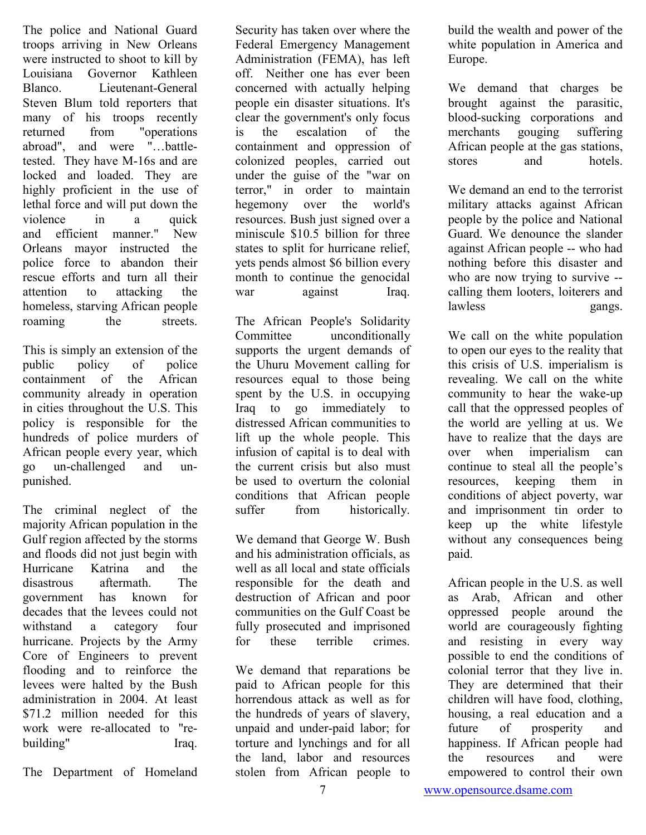The police and National Guard troops arriving in New Orleans were instructed to shoot to kill by Louisiana Governor Kathleen Blanco. Lieutenant-General Steven Blum told reporters that many of his troops recently returned from "operations abroad", and were "…battletested. They have M-16s and are locked and loaded. They are highly proficient in the use of lethal force and will put down the violence in a quick and efficient manner." New Orleans mayor instructed the police force to abandon their rescue efforts and turn all their attention to attacking the homeless, starving African people roaming the streets.

This is simply an extension of the public policy of police containment of the African community already in operation in cities throughout the U.S. This policy is responsible for the hundreds of police murders of African people every year, which go un-challenged and unpunished.

The criminal neglect of the majority African population in the Gulf region affected by the storms and floods did not just begin with Hurricane Katrina and the disastrous aftermath The government has known for decades that the levees could not withstand a category four hurricane. Projects by the Army Core of Engineers to prevent flooding and to reinforce the levees were halted by the Bush administration in 2004. At least \$71.2 million needed for this work were re-allocated to "rebuilding" Iraq.

The Department of Homeland

Security has taken over where the Federal Emergency Management Administration (FEMA), has left off. Neither one has ever been concerned with actually helping people ein disaster situations. It's clear the government's only focus is the escalation of the containment and oppression of colonized peoples, carried out under the guise of the "war on terror," in order to maintain hegemony over the world's resources. Bush just signed over a miniscule \$10.5 billion for three states to split for hurricane relief, yets pends almost \$6 billion every month to continue the genocidal war against Iraq.

The African People's Solidarity Committee unconditionally supports the urgent demands of the Uhuru Movement calling for resources equal to those being spent by the U.S. in occupying Iraq to go immediately to distressed African communities to lift up the whole people. This infusion of capital is to deal with the current crisis but also must be used to overturn the colonial conditions that African people suffer from historically.

We demand that George W. Bush and his administration officials, as well as all local and state officials responsible for the death and destruction of African and poor communities on the Gulf Coast be fully prosecuted and imprisoned for these terrible crimes.

We demand that reparations be paid to African people for this horrendous attack as well as for the hundreds of years of slavery, unpaid and under-paid labor; for torture and lynchings and for all the land, labor and resources stolen from African people to

build the wealth and power of the white population in America and Europe.

We demand that charges be brought against the parasitic, blood-sucking corporations and merchants gouging suffering African people at the gas stations, stores and hotels

We demand an end to the terrorist military attacks against African people by the police and National Guard. We denounce the slander against African people -- who had nothing before this disaster and who are now trying to survive -calling them looters, loiterers and lawless gangs.

We call on the white population to open our eyes to the reality that this crisis of U.S. imperialism is revealing. We call on the white community to hear the wake-up call that the oppressed peoples of the world are yelling at us. We have to realize that the days are over when imperialism can continue to steal all the people's resources, keeping them in conditions of abject poverty, war and imprisonment tin order to keep up the white lifestyle without any consequences being paid.

African people in the U.S. as well as Arab, African and other oppressed people around the world are courageously fighting and resisting in every way possible to end the conditions of colonial terror that they live in. They are determined that their children will have food, clothing, housing, a real education and a future of prosperity and happiness. If African people had the resources and were empowered to control their own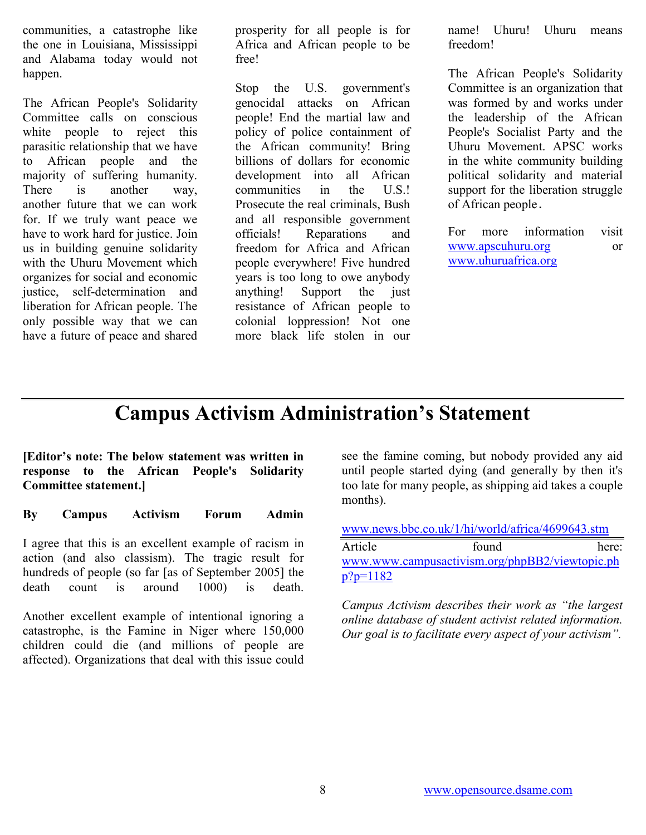communities, a catastrophe like the one in Louisiana, Mississippi and Alabama today would not happen.

The African People's Solidarity Committee calls on conscious white people to reject this parasitic relationship that we have to African people and the majority of suffering humanity. There is another way, another future that we can work for. If we truly want peace we have to work hard for justice. Join us in building genuine solidarity with the Uhuru Movement which organizes for social and economic justice, self-determination and liberation for African people. The only possible way that we can have a future of peace and shared prosperity for all people is for Africa and African people to be free!

Stop the U.S. government's genocidal attacks on African people! End the martial law and policy of police containment of the African community! Bring billions of dollars for economic development into all African communities in the U.S.! Prosecute the real criminals, Bush and all responsible government officials! Reparations and freedom for Africa and African people everywhere! Five hundred years is too long to owe anybody anything! Support the just resistance of African people to colonial loppression! Not one more black life stolen in our

name! Uhuru! Uhuru means freedom!

The African People's Solidarity Committee is an organization that was formed by and works under the leadership of the African People's Socialist Party and the Uhuru Movement. APSC works in the white community building political solidarity and material support for the liberation struggle of African people.

For more information visit [www.apscuhuru.org](http://www.apscuhuru.org/) or [www.uhuruafrica.org](http://www.uhuruafrica.org/)

## Campus Activism Administration's Statement

[Editor's note: The below statement was written in response to the African People's Solidarity Committee statement.]

By Campus Activism Forum Admin

I agree that this is an excellent example of racism in action (and also classism). The tragic result for hundreds of people (so far [as of September 2005] the death count is around 1000) is death.

Another excellent example of intentional ignoring a catastrophe, is the Famine in Niger where 150,000 children could die (and millions of people are affected). Organizations that deal with this issue could

see the famine coming, but nobody provided any aid until people started dying (and generally by then it's too late for many people, as shipping aid takes a couple months).

[www.news.bbc.co.uk/1/hi/world/africa/4699643.stm](http://news.bbc.co.uk/1/hi/world/africa/4699643.stm)

Article found here: [www.www.campusactivism.org/phpBB2/viewtopic.ph](http://www.www.campusactivism.org/phpBB2/viewtopic.php?p=1182) [p?p=1182](http://www.www.campusactivism.org/phpBB2/viewtopic.php?p=1182)

Campus Activism describes their work as "the largest online database of student activist related information. Our goal is to facilitate every aspect of your activism".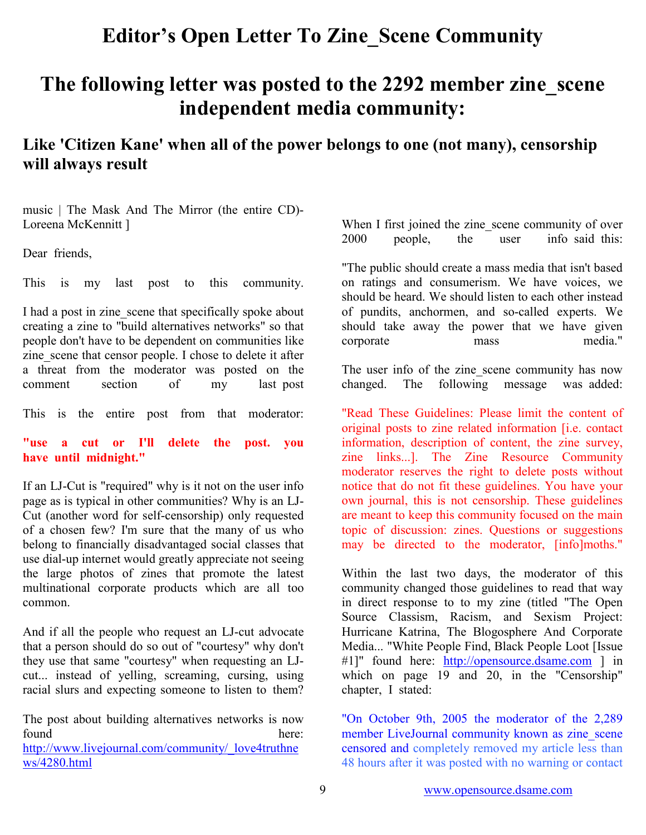## Editor's Open Letter To Zine\_Scene Community

# The following letter was posted to the 2292 member zine scene independent media community:

## Like 'Citizen Kane' when all of the power belongs to one (not many), censorship will always result

music | The Mask And The Mirror (the entire CD)- Loreena McKennitt ]

Dear friends.

This is my last post to this community.

I had a post in zine scene that specifically spoke about creating a zine to "build alternatives networks" so that people don't have to be dependent on communities like zine scene that censor people. I chose to delete it after a threat from the moderator was posted on the comment section of my last post

This is the entire post from that moderator:

"use a cut or I'll delete the post. you have until midnight."

If an LJ-Cut is "required" why is it not on the user info page as is typical in other communities? Why is an LJ-Cut (another word for self-censorship) only requested of a chosen few? I'm sure that the many of us who belong to financially disadvantaged social classes that use dial-up internet would greatly appreciate not seeing the large photos of zines that promote the latest multinational corporate products which are all too common.

And if all the people who request an LJ-cut advocate that a person should do so out of "courtesy" why don't they use that same "courtesy" when requesting an LJcut... instead of yelling, screaming, cursing, using racial slurs and expecting someone to listen to them?

The post about building alternatives networks is now found here:

[http://www.livejournal.com/community/\\_love4truthne](http://www.livejournal.com/community/_love4truthnews/4280.html) [ws/4280.html](http://www.livejournal.com/community/_love4truthnews/4280.html)

When I first joined the zine scene community of over 2000 people, the user info\_said\_this:

"The public should create a mass media that isn't based on ratings and consumerism. We have voices, we should be heard. We should listen to each other instead of pundits, anchormen, and so-called experts. We should take away the power that we have given corporate mass media."

The user info of the zine scene community has now changed. The following message was\_added:

"Read These Guidelines: Please limit the content of original posts to zine related information [i.e. contact information, description of content, the zine survey, zine links...]. The Zine Resource Community moderator reserves the right to delete posts without notice that do not fit these guidelines. You have your own journal, this is not censorship. These guidelines are meant to keep this community focused on the main topic of discussion: zines. Questions or suggestions may be directed to the moderator, [info]moths."

Within the last two days, the moderator of this community changed those guidelines to read that way in direct response to to my zine (titled "The Open Source Classism, Racism, and Sexism Project: Hurricane Katrina, The Blogosphere And Corporate Media... "White People Find, Black People Loot [Issue #1]" found here: [http://opensource.dsame.com](http://opensource.dsame.com/) ] in which on page 19 and 20, in the "Censorship" chapter, I stated:

"On October 9th, 2005 the moderator of the 2,289 member LiveJournal community known as zine scene censored and completely removed my article less than 48 hours after it was posted with no warning or contact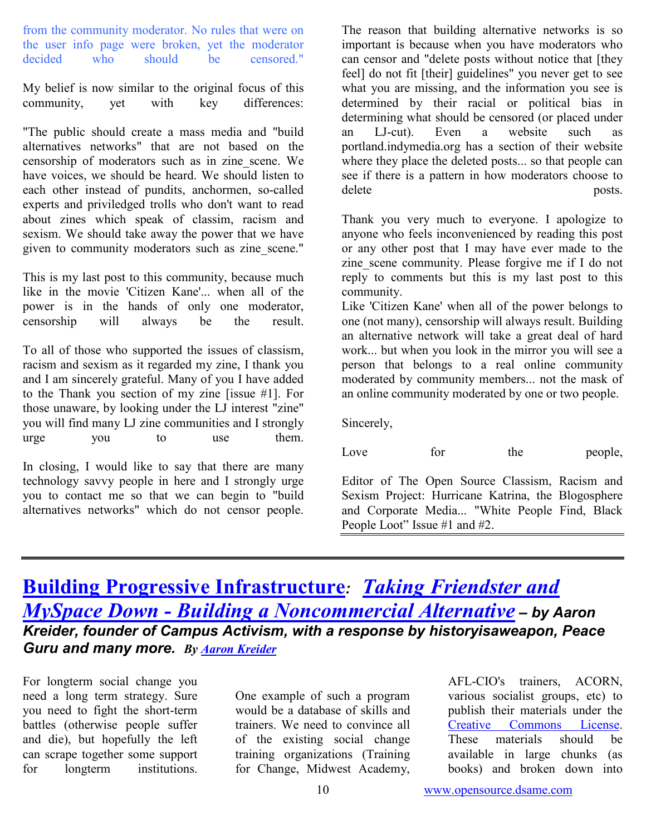from the community moderator. No rules that were on the user info page were broken, yet the moderator<br>decided who should be censored " decided who should be censored."

My belief is now similar to the original focus of this community, yet with key differences:

"The public should create a mass media and "build alternatives networks" that are not based on the censorship of moderators such as in zine\_scene. We have voices, we should be heard. We should listen to each other instead of pundits, anchormen, so-called experts and priviledged trolls who don't want to read about zines which speak of classim, racism and sexism. We should take away the power that we have given to community moderators such as zine scene."

This is my last post to this community, because much like in the movie 'Citizen Kane'... when all of the power is in the hands of only one moderator, censorship will always be the result.

To all of those who supported the issues of classism, racism and sexism as it regarded my zine, I thank you and I am sincerely grateful. Many of you I have added to the Thank you section of my zine [issue #1]. For those unaware, by looking under the LJ interest "zine" you will find many LJ zine communities and I strongly urge you to use them.

In closing, I would like to say that there are many technology savvy people in here and I strongly urge you to contact me so that we can begin to "build alternatives networks" which do not censor people.

The reason that building alternative networks is so important is because when you have moderators who can censor and "delete posts without notice that [they feel] do not fit [their] guidelines" you never get to see what you are missing, and the information you see is determined by their racial or political bias in determining what should be censored (or placed under an LJ-cut). Even a website such as portland.indymedia.org has a section of their website where they place the deleted posts... so that people can see if there is a pattern in how moderators choose to delete posts.

Thank you very much to everyone. I apologize to anyone who feels inconvenienced by reading this post or any other post that I may have ever made to the zine scene community. Please forgive me if I do not reply to comments but this is my last post to this community.

Like 'Citizen Kane' when all of the power belongs to one (not many), censorship will always result. Building an alternative network will take a great deal of hard work... but when you look in the mirror you will see a person that belongs to a real online community moderated by community members... not the mask of an online community moderated by one or two people.

Sincerely,

| Love | for | the | people, |
|------|-----|-----|---------|
|      |     |     |         |

Editor of The Open Source Classism, Racism and Sexism Project: Hurricane Katrina, the Blogosphere and Corporate Media... "White People Find, Black People Loot" Issue #1 and #2.

## **[Building Progressive Infrastructure](http://www.campusactivism.org/blog/node/view/80): Taking Friendster and** [MySpace Down - Building a Noncommercial Alternative](http://www.campusactivism.org/blog/node/view/75) – by Aaron Kreider, founder of Campus Activism, with a response by historyisaweapon, Peace Guru and many more. By [Aaron Kreider](http://www.campusactivism.org/akreider)

For longterm social change you need a long term strategy. Sure you need to fight the short-term battles (otherwise people suffer and die), but hopefully the left can scrape together some support<br>for longterm institutions. for longterm institutions.

One example of such a program would be a database of skills and trainers. We need to convince all of the existing social change training organizations (Training for Change, Midwest Academy, AFL-CIO's trainers, ACORN, various socialist groups, etc) to publish their materials under the [Creative Commons License.](http://creativecommons.org/)<br>These materials should be These materials should be available in large chunks (as books) and broken down into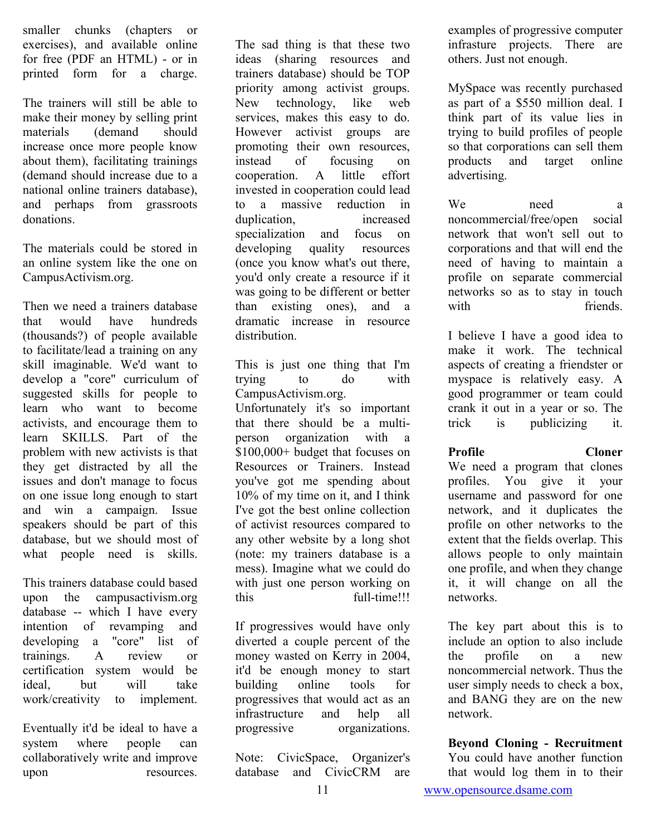smaller chunks (chapters or exercises), and available online for free (PDF an HTML) - or in printed form for a charge.

The trainers will still be able to make their money by selling print materials (demand should increase once more people know about them), facilitating trainings (demand should increase due to a national online trainers database), and perhaps from grassroots donations.

The materials could be stored in an online system like the one on CampusActivism.org.

Then we need a trainers database that would have hundreds (thousands?) of people available to facilitate/lead a training on any skill imaginable. We'd want to develop a "core" curriculum of suggested skills for people to learn who want to become activists, and encourage them to learn SKILLS. Part of the problem with new activists is that they get distracted by all the issues and don't manage to focus on one issue long enough to start and win a campaign. Issue speakers should be part of this database, but we should most of what people need is skills.

This trainers database could based upon the campusactivism.org database -- which I have every intention of revamping and developing a "core" list of trainings. A review or certification system would be ideal, but will take work/creativity to implement.

Eventually it'd be ideal to have a system where people can collaboratively write and improve upon resources.

The sad thing is that these two ideas (sharing resources and trainers database) should be TOP priority among activist groups. New technology, like web services, makes this easy to do. However activist groups are promoting their own resources, instead of focusing on cooperation. A little effort invested in cooperation could lead to a massive reduction in duplication, increased specialization and focus on developing quality resources quality resources (once you know what's out there, you'd only create a resource if it was going to be different or better than existing ones), and a dramatic increase in resource distribution.

This is just one thing that I'm trying to do with CampusActivism.org.

Unfortunately it's so important that there should be a multiperson organization with a \$100,000+ budget that focuses on Resources or Trainers. Instead you've got me spending about 10% of my time on it, and I think I've got the best online collection of activist resources compared to any other website by a long shot (note: my trainers database is a mess). Imagine what we could do with just one person working on this full-time!!!

If progressives would have only diverted a couple percent of the money wasted on Kerry in 2004, it'd be enough money to start building online tools for progressives that would act as an infrastructure and help all progressive organizations.

Note: CivicSpace, Organizer's database and CivicCRM are examples of progressive computer infrasture projects. There are others. Just not enough.

MySpace was recently purchased as part of a \$550 million deal. I think part of its value lies in trying to build profiles of people so that corporations can sell them products and target online advertising.

We need a noncommercial/free/open social network that won't sell out to corporations and that will end the need of having to maintain a profile on separate commercial networks so as to stay in touch with friends

I believe I have a good idea to make it work. The technical aspects of creating a friendster or myspace is relatively easy. A good programmer or team could crank it out in a year or so. The trick is publicizing it.

#### Profile Cloner

We need a program that clones profiles. You give it your username and password for one network, and it duplicates the profile on other networks to the extent that the fields overlap. This allows people to only maintain one profile, and when they change it, it will change on all the networks.

The key part about this is to include an option to also include the profile on a new noncommercial network. Thus the user simply needs to check a box, and BANG they are on the new network.

#### Beyond Cloning - Recruitment

You could have another function that would log them in to their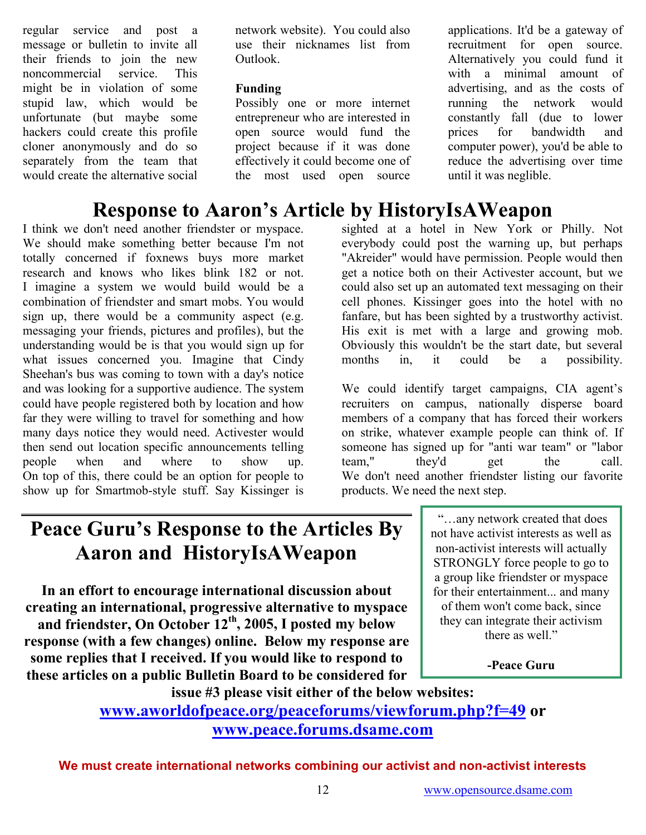regular service and post message or bulletin to invite all their friends to join the new noncommercial service. This might be in violation of some stupid law, which would be unfortunate (but maybe some hackers could create this profile cloner anonymously and do so separately from the team that would create the alternative social network website). You could also use their nicknames list from Outlook.

### Funding

Possibly one or more internet entrepreneur who are interested in open source would fund the project because if it was done effectively it could become one of the most used open source

Response to Aaron's Article by HistoryIsAWeapon

I think we don't need another friendster or myspace. We should make something better because I'm not totally concerned if foxnews buys more market research and knows who likes blink 182 or not. I imagine a system we would build would be a combination of friendster and smart mobs. You would sign up, there would be a community aspect (e.g. messaging your friends, pictures and profiles), but the understanding would be is that you would sign up for what issues concerned you. Imagine that Cindy Sheehan's bus was coming to town with a day's notice and was looking for a supportive audience. The system could have people registered both by location and how far they were willing to travel for something and how many days notice they would need. Activester would then send out location specific announcements telling people when and where to show up. On top of this, there could be an option for people to show up for Smartmob-style stuff. Say Kissinger is

advertising, and as the costs of running the network would constantly fall (due to lower prices for bandwidth and computer power), you'd be able to reduce the advertising over time until it was neglible. sighted at a hotel in New York or Philly. Not everybody could post the warning up, but perhaps

applications. It'd be a gateway of recruitment for open source. Alternatively you could fund it with a minimal amount of

"Akreider" would have permission. People would then get a notice both on their Activester account, but we could also set up an automated text messaging on their cell phones. Kissinger goes into the hotel with no fanfare, but has been sighted by a trustworthy activist. His exit is met with a large and growing mob. Obviously this wouldn't be the start date, but several months in, it could be a possibility.

We could identify target campaigns, CIA agent's recruiters on campus, nationally disperse board members of a company that has forced their workers on strike, whatever example people can think of. If someone has signed up for "anti war team" or "labor team," they'd get the call. We don't need another friendster listing our favorite products. We need the next step.

# Peace Guru's Response to the Articles By Aaron and HistoryIsAWeapon

In an effort to encourage international discussion about creating an international, progressive alternative to myspace and friendster, On October 12<sup>th</sup>, 2005, I posted my below response (with a few changes) online. Below my response are some replies that I received. If you would like to respond to these articles on a public Bulletin Board to be considered for

 "…any network created that does not have activist interests as well as non-activist interests will actually STRONGLY force people to go to a group like friendster or myspace for their entertainment... and many of them won't come back, since they can integrate their activism there as well."

-Peace Guru

issue #3 please visit either of the below websites: [www.aworldofpeace.org/peaceforums/viewforum.php?f=49](http://www.aworldofpeace.org/peaceforums/viewforum.php?f=49) or [www.peace.forums.dsame.com](http://www.peace.forums.dsame.com/)

We must create international networks combining our activist and non-activist interests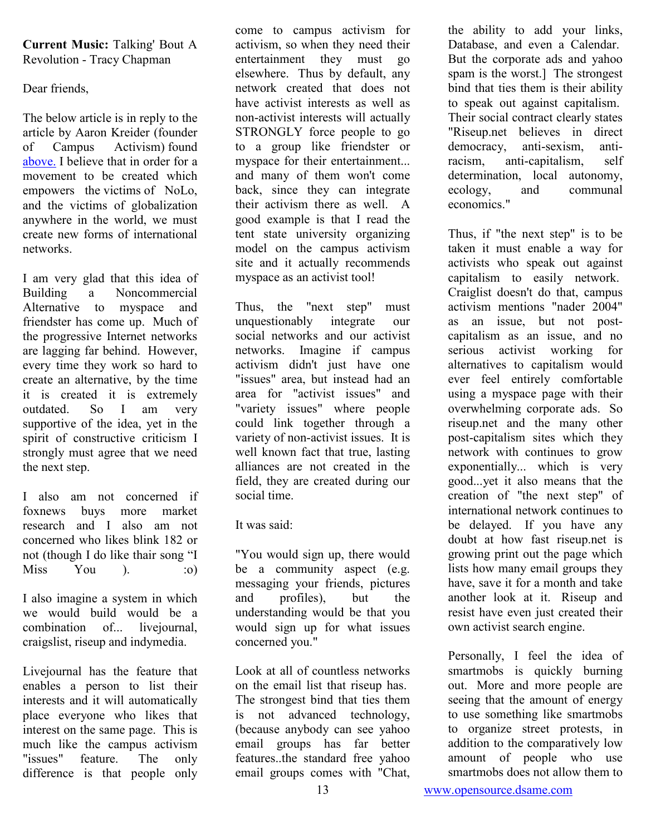#### Current Music: Talking' Bout A Revolution - Tracy Chapman

Dear friends,

The below article is in reply to the article by Aaron Kreider (founder of Campus Activism) found [above.](http://www.campusactivism.org/blog/node/view/75) I believe that in order for a movement to be created which empowers the victims of NoLo, and the victims of globalization anywhere in the world, we must create new forms of international networks.

I am very glad that this idea of Building a Noncommercial Alternative to myspace and friendster has come up. Much of the progressive Internet networks are lagging far behind. However, every time they work so hard to create an alternative, by the time it is created it is extremely outdated. So I am very supportive of the idea, yet in the spirit of constructive criticism I strongly must agree that we need the next step.

I also am not concerned if foxnews buys more market research and I also am not concerned who likes blink 182 or not (though I do like thair song "I  $Miss$   $You$  ).  $:o)$ 

I also imagine a system in which we would build would be a combination of... livejournal, craigslist, riseup and indymedia.

Livejournal has the feature that enables a person to list their interests and it will automatically place everyone who likes that interest on the same page. This is much like the campus activism "issues" feature. The only difference is that people only

come to campus activism for activism, so when they need their entertainment they must go elsewhere. Thus by default, any network created that does not have activist interests as well as non-activist interests will actually STRONGLY force people to go to a group like friendster or myspace for their entertainment... and many of them won't come back, since they can integrate their activism there as well. A good example is that I read the tent state university organizing model on the campus activism site and it actually recommends myspace as an activist tool!

Thus, the "next step" must unquestionably integrate our social networks and our activist networks. Imagine if campus activism didn't just have one "issues" area, but instead had an area for "activist issues" and "variety issues" where people could link together through a variety of non-activist issues. It is well known fact that true, lasting alliances are not created in the field, they are created during our social time.

It was said:

"You would sign up, there would be a community aspect (e.g. messaging your friends, pictures and profiles), but the understanding would be that you would sign up for what issues concerned you."

Look at all of countless networks on the email list that riseup has. The strongest bind that ties them is not advanced technology, (because anybody can see yahoo email groups has far better features..the standard free yahoo email groups comes with "Chat,

the ability to add your links, Database, and even a Calendar. But the corporate ads and yahoo spam is the worst.] The strongest bind that ties them is their ability to speak out against capitalism. Their social contract clearly states "Riseup.net believes in direct democracy, anti-sexism, antiracism, anti-capitalism, self determination, local autonomy, ecology, and communal economics."

Thus, if "the next step" is to be taken it must enable a way for activists who speak out against capitalism to easily network. Craiglist doesn't do that, campus activism mentions "nader 2004" as an issue, but not postcapitalism as an issue, and no serious activist working for alternatives to capitalism would ever feel entirely comfortable using a myspace page with their overwhelming corporate ads. So riseup.net and the many other post-capitalism sites which they network with continues to grow exponentially... which is very good...yet it also means that the creation of "the next step" of international network continues to be delayed. If you have any doubt at how fast riseup.net is growing print out the page which lists how many email groups they have, save it for a month and take another look at it. Riseup and resist have even just created their own activist search engine.

Personally, I feel the idea of smartmobs is quickly burning out. More and more people are seeing that the amount of energy to use something like smartmobs to organize street protests, in addition to the comparatively low amount of people who use smartmobs does not allow them to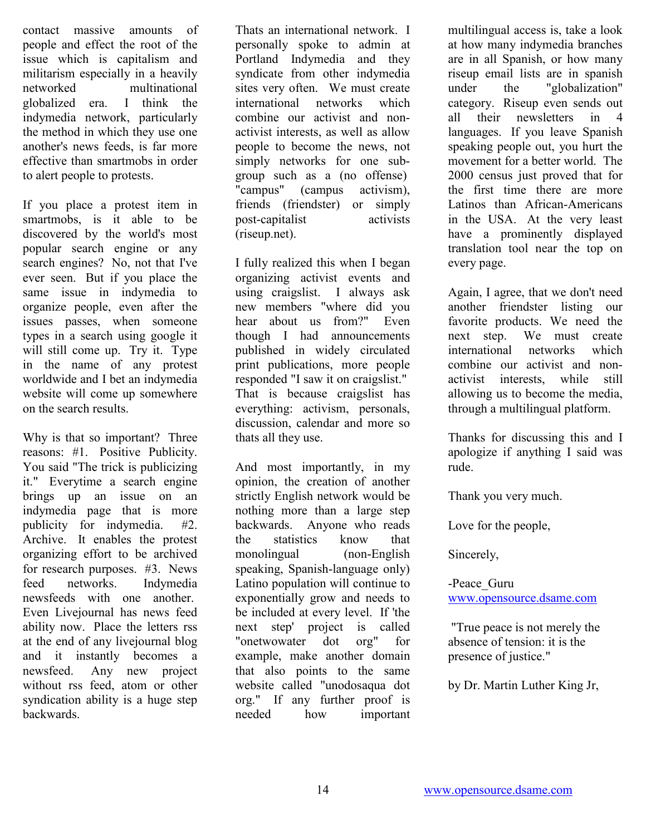contact massive amounts of people and effect the root of the issue which is capitalism and militarism especially in a heavily networked multinational globalized era. I think the indymedia network, particularly the method in which they use one another's news feeds, is far more effective than smartmobs in order to alert people to protests.

If you place a protest item in smartmobs, is it able to be discovered by the world's most popular search engine or any search engines? No, not that I've ever seen. But if you place the same issue in indymedia to organize people, even after the issues passes, when someone types in a search using google it will still come up. Try it. Type in the name of any protest worldwide and I bet an indymedia website will come up somewhere on the search results.

Why is that so important? Three reasons: #1. Positive Publicity. You said "The trick is publicizing it." Everytime a search engine brings up an issue on an indymedia page that is more publicity for indymedia. #2. Archive. It enables the protest organizing effort to be archived for research purposes. #3. News feed networks. Indymedia newsfeeds with one another. Even Livejournal has news feed ability now. Place the letters rss at the end of any livejournal blog and it instantly becomes a newsfeed. Any new project without rss feed, atom or other syndication ability is a huge step backwards.

Thats an international network. I personally spoke to admin at Portland Indymedia and they syndicate from other indymedia sites very often. We must create international networks which combine our activist and nonactivist interests, as well as allow people to become the news, not simply networks for one subgroup such as a (no offense) "campus" (campus activism), friends (friendster) or simply post-capitalist activists (riseup.net).

I fully realized this when I began organizing activist events and using craigslist. I always ask new members "where did you hear about us from?" Even though I had announcements published in widely circulated print publications, more people responded "I saw it on craigslist." That is because craigslist has everything: activism, personals, discussion, calendar and more so thats all they use.

And most importantly, in my opinion, the creation of another strictly English network would be nothing more than a large step backwards. Anyone who reads the statistics know that monolingual (non-English speaking, Spanish-language only) Latino population will continue to exponentially grow and needs to be included at every level. If 'the next step' project is called "onetwowater dot org" for example, make another domain that also points to the same website called "unodosaqua dot org." If any further proof is needed how important multilingual access is, take a look at how many indymedia branches are in all Spanish, or how many riseup email lists are in spanish under the "globalization" category. Riseup even sends out all their newsletters in 4 languages. If you leave Spanish speaking people out, you hurt the movement for a better world. The 2000 census just proved that for the first time there are more Latinos than African-Americans in the USA. At the very least have a prominently displayed translation tool near the top on every page.

Again, I agree, that we don't need another friendster listing our favorite products. We need the next step. We must create international networks which combine our activist and nonactivist interests, while still allowing us to become the media, through a multilingual platform.

Thanks for discussing this and I apologize if anything I said was rude.

Thank you very much.

Love for the people,

Sincerely,

-Peace\_Guru [www.opensource.dsame.com](http://www.opensource.dsame.com/)

 "True peace is not merely the absence of tension: it is the presence of justice."

by Dr. Martin Luther King Jr,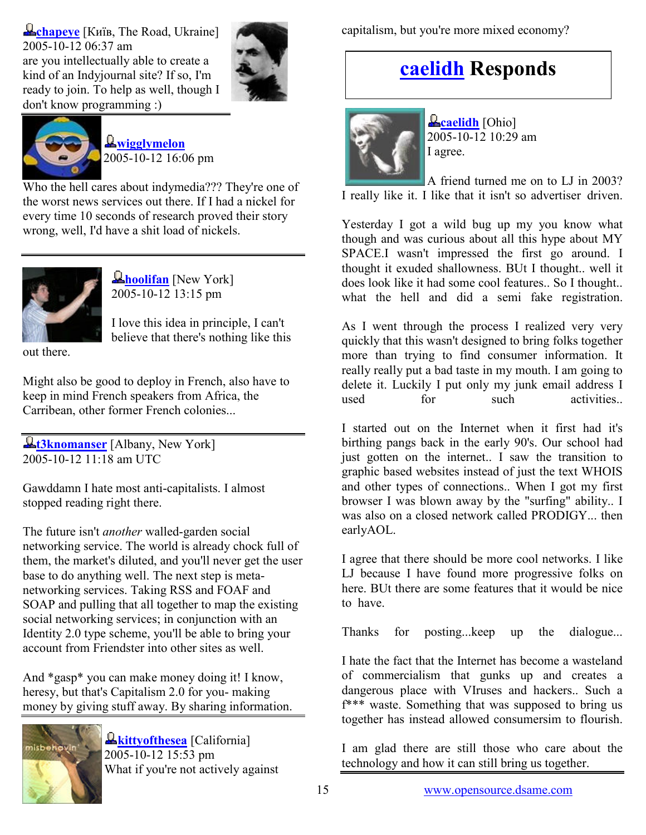**Example 18** Example 1 Kuis, [The Road,](http://www.livejournal.com/directory.bml?opt_sort=ut&s_loc=1&loc_cn=UA&loc_st=The+Road) Ukraine 2005-10-12 06:37 am are you intellectually able to create a kind of an Indyjournal site? If so, I'm ready to join. To help as well, though I don't know programming :)





**Q**[wigglymelon](http://www.livejournal.com/users/wigglymelon/) 2005-10-12 16:06 pm

Who the hell cares about indymedia??? They're one of the worst news services out there. If I had a nickel for every time 10 seconds of research proved their story wrong, well, I'd have a shit load of nickels.



**A[hoolifan](http://www.livejournal.com/users/hoolifan/)** [New York] 2005-10-12 13:15 pm

I love this idea in principle, I can't believe that there's nothing like this

out there.

Might also be good to deploy in French, also have to keep in mind French speakers from Africa, the Carribean, other former French colonies...

 $\mathbf{\mathcal{L}}$  [t3knomanser](http://www.livejournal.com/users/t3knomanser/) [Albany, New York] 2005-10-12 11:18 am UTC

Gawddamn I hate most anti-capitalists. I almost stopped reading right there.

The future isn't another walled-garden social networking service. The world is already chock full of them, the market's diluted, and you'll never get the user base to do anything well. The next step is metanetworking services. Taking RSS and FOAF and SOAP and pulling that all together to map the existing social networking services; in conjunction with an Identity 2.0 type scheme, you'll be able to bring your account from Friendster into other sites as well.

And \*gasp\* you can make money doing it! I know, heresy, but that's Capitalism 2.0 for you- making money by giving stuff away. By sharing information.



**L**[kittyofthesea](http://www.livejournal.com/users/kittyofthesea/) [California]  $2005 - 10 - 12$  15:53 pm What if you're not actively against capitalism, but you're more mixed economy?

# [caelidh](http://www.livejournal.com/users/caelidh/) Responds



**L**[caelidh](http://www.livejournal.com/users/caelidh/) [Ohio] 2005-10-12 10:29 am I agree.

A friend turned me on to LJ in 2003? I really like it. I like that it isn't so advertiser driven.

Yesterday I got a wild bug up my you know what though and was curious about all this hype about MY SPACE.I wasn't impressed the first go around. I thought it exuded shallowness. BUt I thought.. well it does look like it had some cool features.. So I thought.. what the hell and did a semi fake registration.

As I went through the process I realized very very quickly that this wasn't designed to bring folks together more than trying to find consumer information. It really really put a bad taste in my mouth. I am going to delete it. Luckily I put only my junk email address I used for such activities

I started out on the Internet when it first had it's birthing pangs back in the early 90's. Our school had just gotten on the internet.. I saw the transition to graphic based websites instead of just the text WHOIS and other types of connections.. When I got my first browser I was blown away by the "surfing" ability.. I was also on a closed network called PRODIGY... then earlyAOL.

I agree that there should be more cool networks. I like LJ because I have found more progressive folks on here. BUt there are some features that it would be nice to have.

Thanks for posting...keep up the dialogue...

I hate the fact that the Internet has become a wasteland of commercialism that gunks up and creates a dangerous place with VIruses and hackers.. Such a f\*\*\* waste. Something that was supposed to bring us together has instead allowed consumersim to flourish.

I am glad there are still those who care about the technology and how it can still bring us together.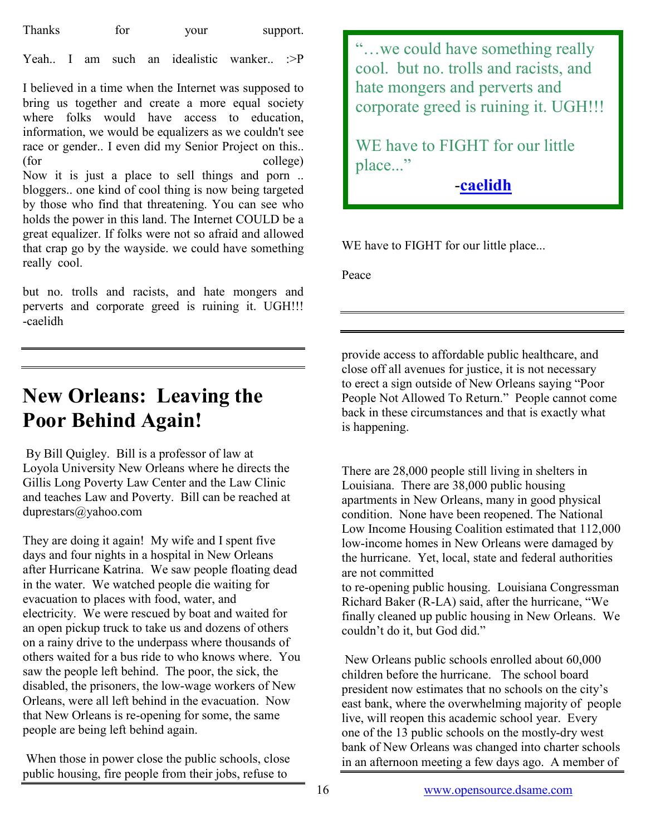| <b>Thanks</b> | tor | your | support. |
|---------------|-----|------|----------|
|---------------|-----|------|----------|

Yeah. I am such an idealistic wanker. :>P

I believed in a time when the Internet was supposed to bring us together and create a more equal society where folks would have access to education. information, we would be equalizers as we couldn't see race or gender.. I even did my Senior Project on this.. (for college) Now it is just a place to sell things and porn .. bloggers.. one kind of cool thing is now being targeted by those who find that threatening. You can see who holds the power in this land. The Internet COULD be a great equalizer. If folks were not so afraid and allowed that crap go by the wayside. we could have something really cool.

but no. trolls and racists, and hate mongers and perverts and corporate greed is ruining it. UGH!!! -caelidh

# New Orleans: Leaving the Poor Behind Again!

 By Bill Quigley. Bill is a professor of law at Loyola University New Orleans where he directs the Gillis Long Poverty Law Center and the Law Clinic and teaches Law and Poverty. Bill can be reached at duprestars@yahoo.com

They are doing it again! My wife and I spent five days and four nights in a hospital in New Orleans after Hurricane Katrina. We saw people floating dead in the water. We watched people die waiting for evacuation to places with food, water, and electricity. We were rescued by boat and waited for an open pickup truck to take us and dozens of others on a rainy drive to the underpass where thousands of others waited for a bus ride to who knows where. You saw the people left behind. The poor, the sick, the disabled, the prisoners, the low-wage workers of New Orleans, were all left behind in the evacuation. Now that New Orleans is re-opening for some, the same people are being left behind again.

 When those in power close the public schools, close public housing, fire people from their jobs, refuse to

"…we could have something really cool. but no. trolls and racists, and hate mongers and perverts and corporate greed is ruining it. UGH!!!

WE have to FIGHT for our little place..."

-[caelidh](http://www.livejournal.com/users/caelidh/)

WE have to FIGHT for our little place...

Peace

provide access to affordable public healthcare, and close off all avenues for justice, it is not necessary to erect a sign outside of New Orleans saying "Poor People Not Allowed To Return." People cannot come back in these circumstances and that is exactly what is happening.

There are 28,000 people still living in shelters in Louisiana. There are 38,000 public housing apartments in New Orleans, many in good physical condition. None have been reopened. The National Low Income Housing Coalition estimated that 112,000 low-income homes in New Orleans were damaged by the hurricane. Yet, local, state and federal authorities are not committed

to re-opening public housing. Louisiana Congressman Richard Baker (R-LA) said, after the hurricane, "We finally cleaned up public housing in New Orleans. We couldn't do it, but God did."

 New Orleans public schools enrolled about 60,000 children before the hurricane. The school board president now estimates that no schools on the city's east bank, where the overwhelming majority of people live, will reopen this academic school year. Every one of the 13 public schools on the mostly-dry west bank of New Orleans was changed into charter schools in an afternoon meeting a few days ago. A member of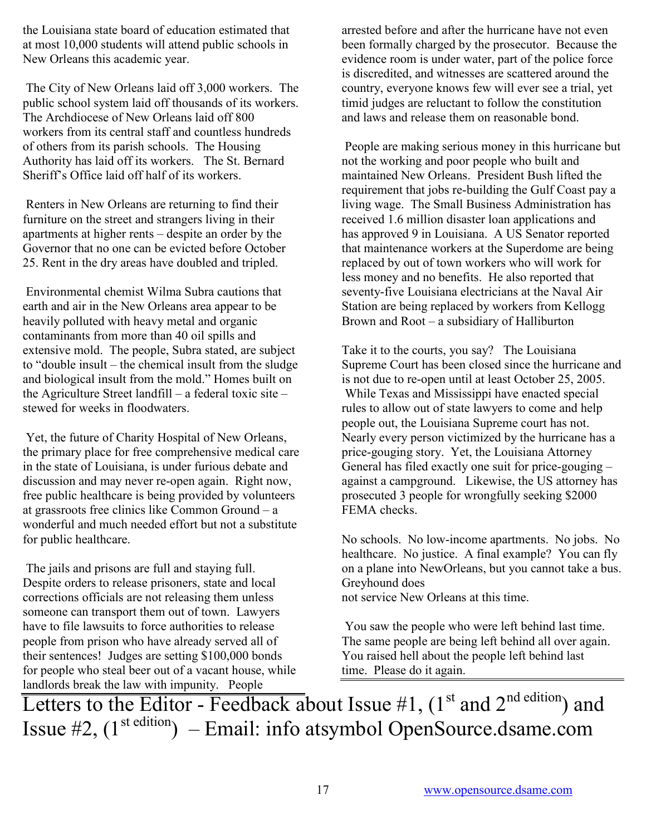the Louisiana state board of education estimated that at most 10,000 students will attend public schools in New Orleans this academic year.

 The City of New Orleans laid off 3,000 workers. The public school system laid off thousands of its workers. The Archdiocese of New Orleans laid off 800 workers from its central staff and countless hundreds of others from its parish schools. The Housing Authority has laid off its workers. The St. Bernard Sheriff's Office laid off half of its workers.

 Renters in New Orleans are returning to find their furniture on the street and strangers living in their apartments at higher rents – despite an order by the Governor that no one can be evicted before October 25. Rent in the dry areas have doubled and tripled.

 Environmental chemist Wilma Subra cautions that earth and air in the New Orleans area appear to be heavily polluted with heavy metal and organic contaminants from more than 40 oil spills and extensive mold. The people, Subra stated, are subject to "double insult – the chemical insult from the sludge and biological insult from the mold." Homes built on the Agriculture Street landfill – a federal toxic site – stewed for weeks in floodwaters.

 Yet, the future of Charity Hospital of New Orleans, the primary place for free comprehensive medical care in the state of Louisiana, is under furious debate and discussion and may never re-open again. Right now, free public healthcare is being provided by volunteers at grassroots free clinics like Common Ground – a wonderful and much needed effort but not a substitute for public healthcare.

 The jails and prisons are full and staying full. Despite orders to release prisoners, state and local corrections officials are not releasing them unless someone can transport them out of town. Lawyers have to file lawsuits to force authorities to release people from prison who have already served all of their sentences! Judges are setting \$100,000 bonds for people who steal beer out of a vacant house, while landlords break the law with impunity. People

arrested before and after the hurricane have not even been formally charged by the prosecutor. Because the evidence room is under water, part of the police force is discredited, and witnesses are scattered around the country, everyone knows few will ever see a trial, yet timid judges are reluctant to follow the constitution and laws and release them on reasonable bond.

 People are making serious money in this hurricane but not the working and poor people who built and maintained New Orleans. President Bush lifted the requirement that jobs re-building the Gulf Coast pay a living wage. The Small Business Administration has received 1.6 million disaster loan applications and has approved 9 in Louisiana. A US Senator reported that maintenance workers at the Superdome are being replaced by out of town workers who will work for less money and no benefits. He also reported that seventy-five Louisiana electricians at the Naval Air Station are being replaced by workers from Kellogg Brown and Root – a subsidiary of Halliburton

Take it to the courts, you say? The Louisiana Supreme Court has been closed since the hurricane and is not due to re-open until at least October 25, 2005. While Texas and Mississippi have enacted special rules to allow out of state lawyers to come and help people out, the Louisiana Supreme court has not. Nearly every person victimized by the hurricane has a price-gouging story. Yet, the Louisiana Attorney General has filed exactly one suit for price-gouging – against a campground. Likewise, the US attorney has prosecuted 3 people for wrongfully seeking \$2000 FEMA checks.

No schools. No low-income apartments. No jobs. No healthcare. No justice. A final example? You can fly on a plane into NewOrleans, but you cannot take a bus. Greyhound does

not service New Orleans at this time.

 You saw the people who were left behind last time. The same people are being left behind all over again. You raised hell about the people left behind last time. Please do it again.

Letters to the Editor - Feedback about Issue  $#1$ , (1<sup>st</sup> and 2<sup>nd edition</sup>) and Issue  $#2$ ,  $(1^{st \cdot edition})$  – Email: info atsymbol OpenSource.dsame.com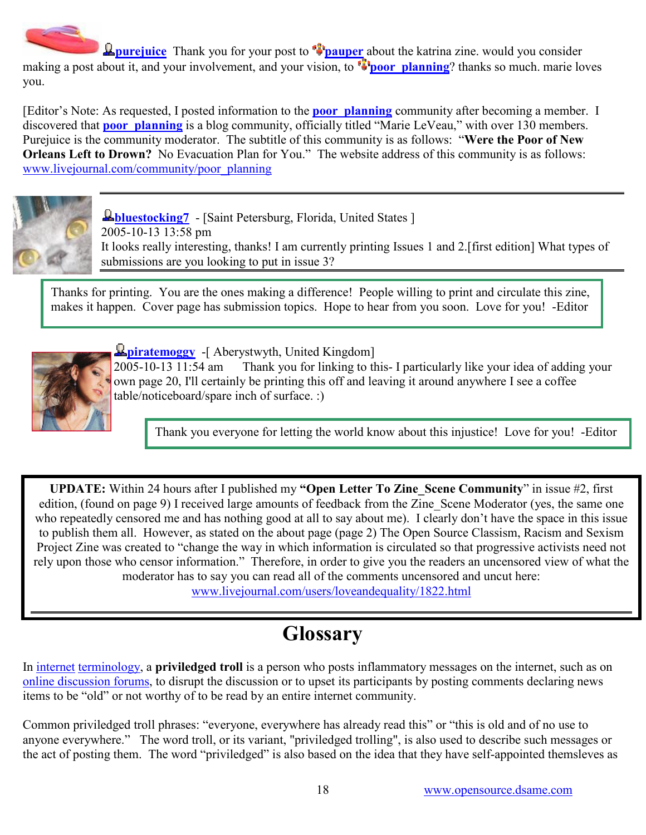**Purejuice** Thank you for your post to **Pauper** about the katrina zine. would you consider making a post about it, and your involvement, and your vision, to **poor planning**? thanks so much. marie loves you.

[Editor's Note: As requested, I posted information to the **poor** planning community after becoming a member. I discovered that **poor** planning is a blog community, officially titled "Marie LeVeau," with over 130 members. Purejuice is the community moderator. The subtitle of this community is as follows: "Were the Poor of New Orleans Left to Drown? No Evacuation Plan for You." The website address of this community is as follows: [www.livejournal.com/community/poor\\_planning](http://www.livejournal.com/community/poor_planning)



**<u>Letterstocking</u>** - [Saint Petersburg, Florida, United States ] 2005-10-13 13:58 pm It looks really interesting, thanks! I am currently printing Issues 1 and 2.[first edition] What types of submissions are you looking to put in issue 3?

Thanks for printing. You are the ones making a difference! People willing to print and circulate this zine, makes it happen. Cover page has submission topics. Hope to hear from you soon. Love for you! -Editor



**L** [piratemoggy](http://www.livejournal.com/users/piratemoggy/) -[ Aberystwyth, United Kingdom]

2005-10-13 11:54 am Thank you for linking to this- I particularly like your idea of adding your own page 20, I'll certainly be printing this off and leaving it around anywhere I see a coffee table/noticeboard/spare inch of surface. :)

Thank you everyone for letting the world know about this injustice! Love for you! -Editor

UPDATE: Within 24 hours after I published my "Open Letter To Zine\_Scene Community" in issue #2, first edition, (found on page 9) I received large amounts of feedback from the Zine Scene Moderator (yes, the same one who repeatedly censored me and has nothing good at all to say about me). I clearly don't have the space in this issue to publish them all. However, as stated on the about page (page 2) The Open Source Classism, Racism and Sexism Project Zine was created to "change the way in which information is circulated so that progressive activists need not rely upon those who censor information." Therefore, in order to give you the readers an uncensored view of what the moderator has to say you can read all of the comments uncensored and uncut here:

[www.livejournal.com/users/loveandequality/1822.html](http://www.livejournal.com/users/loveandequality/1822.html)

# **Glossary**

In [internet](http://en.wikipedia.org/wiki/Internet) [terminology,](http://en.wikipedia.org/wiki/Terminology) a priviledged troll is a person who posts inflammatory messages on the internet, such as on [online discussion forums,](http://en.wikipedia.org/wiki/Internet_forum) to disrupt the discussion or to upset its participants by posting comments declaring news items to be "old" or not worthy of to be read by an entire internet community.

Common priviledged troll phrases: "everyone, everywhere has already read this" or "this is old and of no use to anyone everywhere." The word troll, or its variant, "priviledged trolling", is also used to describe such messages or the act of posting them. The word "priviledged" is also based on the idea that they have self-appointed themsleves as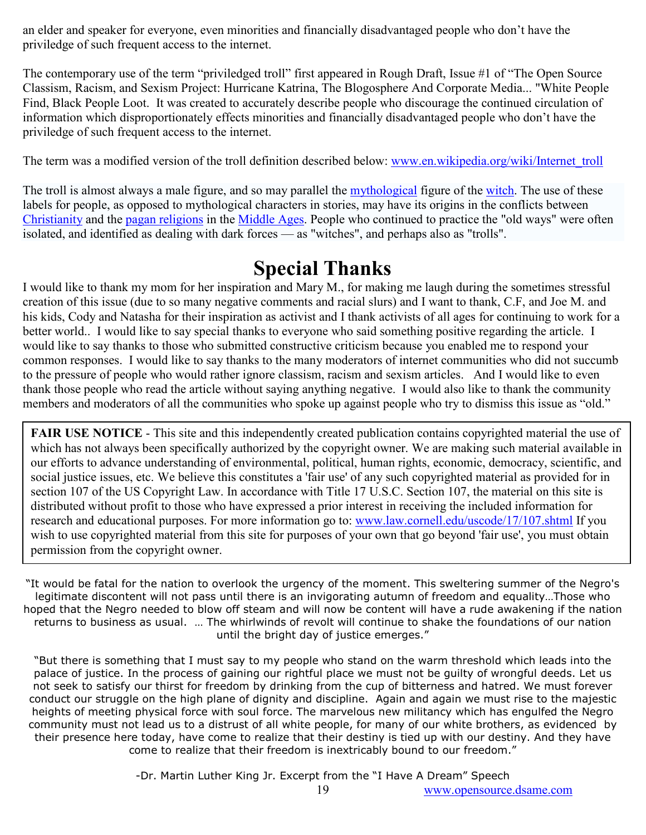an elder and speaker for everyone, even minorities and financially disadvantaged people who don't have the priviledge of such frequent access to the internet.

The contemporary use of the term "priviledged troll" first appeared in Rough Draft, Issue #1 of "The Open Source Classism, Racism, and Sexism Project: Hurricane Katrina, The Blogosphere And Corporate Media... "White People Find, Black People Loot. It was created to accurately describe people who discourage the continued circulation of information which disproportionately effects minorities and financially disadvantaged people who don't have the priviledge of such frequent access to the internet.

The term was a modified version of the troll definition described below: [www.en.wikipedia.org/wiki/Internet\\_troll](http://en.wikipedia.org/wiki/Internet_troll)

The troll is almost always a male figure, and so may parallel the *mythological* figure of the [witch.](http://en.wikipedia.org/wiki/Witch) The use of these labels for people, as opposed to mythological characters in stories, may have its origins in the conflicts between [Christianity](http://en.wikipedia.org/wiki/Christianity) and the [pagan religions](http://en.wikipedia.org/wiki/Paganism) in the [Middle Ages](http://en.wikipedia.org/wiki/Middle_Ages). People who continued to practice the "old ways" were often isolated, and identified as dealing with dark forces — as "witches", and perhaps also as "trolls".

# Special Thanks

I would like to thank my mom for her inspiration and Mary M., for making me laugh during the sometimes stressful creation of this issue (due to so many negative comments and racial slurs) and I want to thank, C.F, and Joe M. and his kids, Cody and Natasha for their inspiration as activist and I thank activists of all ages for continuing to work for a better world.. I would like to say special thanks to everyone who said something positive regarding the article. I would like to say thanks to those who submitted constructive criticism because you enabled me to respond your common responses. I would like to say thanks to the many moderators of internet communities who did not succumb to the pressure of people who would rather ignore classism, racism and sexism articles. And I would like to even thank those people who read the article without saying anything negative. I would also like to thank the community members and moderators of all the communities who spoke up against people who try to dismiss this issue as "old."

FAIR USE NOTICE - This site and this independently created publication contains copyrighted material the use of which has not always been specifically authorized by the copyright owner. We are making such material available in our efforts to advance understanding of environmental, political, human rights, economic, democracy, scientific, and social justice issues, etc. We believe this constitutes a 'fair use' of any such copyrighted material as provided for in section 107 of the US Copyright Law. In accordance with Title 17 U.S.C. Section 107, the material on this site is distributed without profit to those who have expressed a prior interest in receiving the included information for research and educational purposes. For more information go to: [www.law.cornell.edu/uscode/17/107.shtml](http://www.law.cornell.edu/uscode/17/107.shtml) If you wish to use copyrighted material from this site for purposes of your own that go beyond 'fair use', you must obtain permission from the copyright owner.

"It would be fatal for the nation to overlook the urgency of the moment. This sweltering summer of the Negro's legitimate discontent will not pass until there is an invigorating autumn of freedom and equality…Those who hoped that the Negro needed to blow off steam and will now be content will have a rude awakening if the nation returns to business as usual. … The whirlwinds of revolt will continue to shake the foundations of our nation until the bright day of justice emerges."

"But there is something that I must say to my people who stand on the warm threshold which leads into the palace of justice. In the process of gaining our rightful place we must not be guilty of wrongful deeds. Let us not seek to satisfy our thirst for freedom by drinking from the cup of bitterness and hatred. We must forever conduct our struggle on the high plane of dignity and discipline. Again and again we must rise to the majestic heights of meeting physical force with soul force. The marvelous new militancy which has engulfed the Negro community must not lead us to a distrust of all white people, for many of our white brothers, as evidenced by their presence here today, have come to realize that their destiny is tied up with our destiny. And they have come to realize that their freedom is inextricably bound to our freedom."

-Dr. Martin Luther King Jr. Excerpt from the "I Have A Dream" Speech